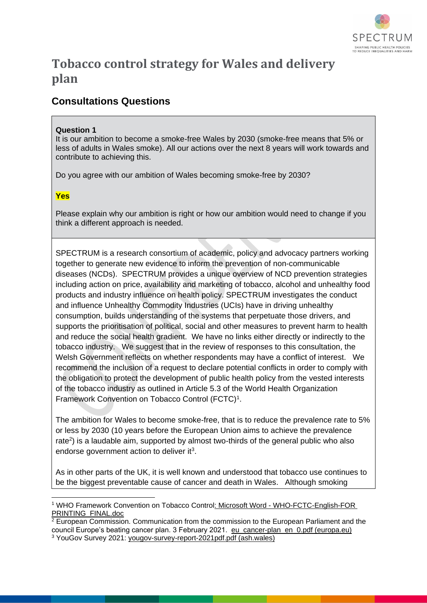

# **Tobacco control strategy for Wales and delivery plan**

# **Consultations Questions**

# **Question 1**

It is our ambition to become a smoke-free Wales by 2030 (smoke-free means that 5% or less of adults in Wales smoke). All our actions over the next 8 years will work towards and contribute to achieving this.

Do you agree with our ambition of Wales becoming smoke-free by 2030?

# **Yes**

<u>.</u>

Please explain why our ambition is right or how our ambition would need to change if you think a different approach is needed.

SPECTRUM is a research consortium of academic, policy and advocacy partners working together to generate new evidence to inform the prevention of non-communicable diseases (NCDs). SPECTRUM provides a unique overview of NCD prevention strategies including action on price, availability and marketing of tobacco, alcohol and unhealthy food products and industry influence on health policy. SPECTRUM investigates the conduct and influence Unhealthy Commodity Industries (UCIs) have in driving unhealthy consumption, builds understanding of the systems that perpetuate those drivers, and supports the prioritisation of political, social and other measures to prevent harm to health and reduce the social health gradient. We have no links either directly or indirectly to the tobacco industry. We suggest that in the review of responses to this consultation, the Welsh Government reflects on whether respondents may have a conflict of interest. We recommend the inclusion of a request to declare potential conflicts in order to comply with the obligation to protect the development of public health policy from the vested interests of the tobacco industry as outlined in Article 5.3 of the World Health Organization Framework Convention on Tobacco Control (FCTC)<sup>1</sup>.

The ambition for Wales to become smoke-free, that is to reduce the prevalence rate to 5% or less by 2030 (10 years before the European Union aims to achieve the prevalence rate<sup>2</sup>) is a laudable aim, supported by almost two-thirds of the general public who also endorse government action to deliver it $3$ .

As in other parts of the UK, it is well known and understood that tobacco use continues to be the biggest preventable cause of cancer and death in Wales. Although smoking

<sup>1</sup> WHO Framework Convention on Tobacco Control: Microsoft Word - [WHO-FCTC-English-FOR](http://apps.who.int/iris/bitstream/handle/10665/42811/9241591013.pdf;jsessionid=CA7F1BD837DEB9EDAB7824284A3968BB?sequence=1)  [PRINTING\\_FINAL.doc](http://apps.who.int/iris/bitstream/handle/10665/42811/9241591013.pdf;jsessionid=CA7F1BD837DEB9EDAB7824284A3968BB?sequence=1)

 $\frac{2}{3}$  European Commission. Communication from the commission to the European Parliament and the council Europe's beating cancer plan. 3 February 2021. [eu\\_cancer-plan\\_en\\_0.pdf \(europa.eu\)](https://ec.europa.eu/health/system/files/2022-02/eu_cancer-plan_en_0.pdf) <sup>3</sup> YouGov Survey 2021: [yougov-survey-report-2021pdf.pdf \(ash.wales\)](https://ash.wales/wp-content/uploads/2021/07/yougov-survey-report-2021pdf.pdf)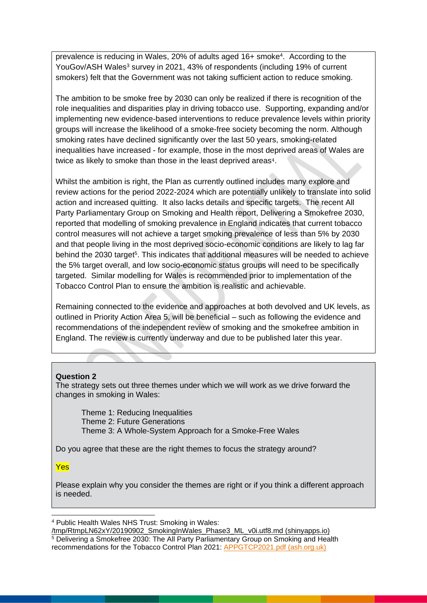prevalence is reducing in Wales, 20% of adults aged 16+ smoke<sup>4</sup>. According to the YouGov/ASH Wales<sup>3</sup> survey in 2021, 43% of respondents (including 19% of current smokers) felt that the Government was not taking sufficient action to reduce smoking.

The ambition to be smoke free by 2030 can only be realized if there is recognition of the role inequalities and disparities play in driving tobacco use. Supporting, expanding and/or implementing new evidence-based interventions to reduce prevalence levels within priority groups will increase the likelihood of a smoke-free society becoming the norm. Although smoking rates have declined significantly over the last 50 years, smoking-related inequalities have increased - for example, those in the most deprived areas of Wales are twice as likely to smoke than those in the least deprived areas<sup>4</sup>.

Whilst the ambition is right, the Plan as currently outlined includes many explore and review actions for the period 2022-2024 which are potentially unlikely to translate into solid action and increased quitting. It also lacks details and specific targets. The recent All Party Parliamentary Group on Smoking and Health report, Delivering a Smokefree 2030, reported that modelling of smoking prevalence in England indicates that current tobacco control measures will not achieve a target smoking prevalence of less than 5% by 2030 and that people living in the most deprived socio-economic conditions are likely to lag far behind the 2030 target<sup>5</sup>. This indicates that additional measures will be needed to achieve the 5% target overall, and low socio-economic status groups will need to be specifically targeted. Similar modelling for Wales is recommended prior to implementation of the Tobacco Control Plan to ensure the ambition is realistic and achievable.

Remaining connected to the evidence and approaches at both devolved and UK levels, as outlined in Priority Action Area 5, will be beneficial – such as following the evidence and recommendations of the independent review of smoking and the smokefree ambition in England. The review is currently underway and due to be published later this year.

#### **Question 2**

The strategy sets out three themes under which we will work as we drive forward the changes in smoking in Wales:

Theme 1: Reducing Inequalities Theme 2: Future Generations Theme 3: A Whole-System Approach for a Smoke-Free Wales

Do you agree that these are the right themes to focus the strategy around?

### Yes

<u>.</u>

Please explain why you consider the themes are right or if you think a different approach is needed.

<sup>4</sup> Public Health Wales NHS Trust: Smoking in Wales:

[<sup>/</sup>tmp/RtmpLN62xY/20190902\\_SmokingInWales\\_Phase3\\_ML\\_v0i.utf8.md \(shinyapps.io\)](https://publichealthwales.shinyapps.io/smokinginwales/) <sup>5</sup> Delivering a Smokefree 2030: The All Party Parliamentary Group on Smoking and Health recommendations for the Tobacco Control Plan 2021: [APPGTCP2021.pdf \(ash.org.uk\)](https://ash.org.uk/wp-content/uploads/2021/06/APPGTCP2021.pdf)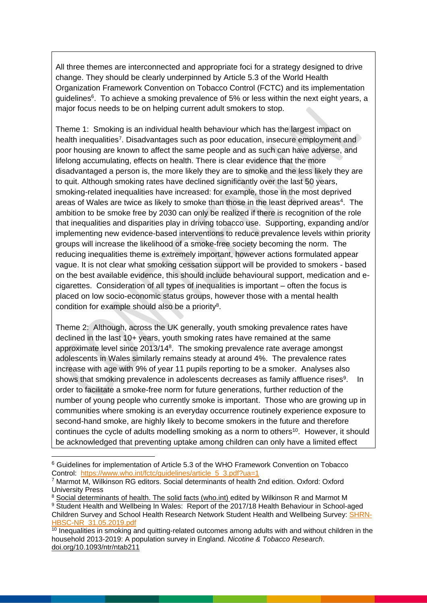All three themes are interconnected and appropriate foci for a strategy designed to drive change. They should be clearly underpinned by Article 5.3 of the World Health Organization Framework Convention on Tobacco Control (FCTC) and its implementation guidelines<sup>6</sup>. To achieve a smoking prevalence of 5% or less within the next eight years, a major focus needs to be on helping current adult smokers to stop.

Theme 1: Smoking is an individual health behaviour which has the largest impact on health inequalities<sup>7</sup>. Disadvantages such as poor education, insecure employment and poor housing are known to affect the same people and as such can have adverse, and lifelong accumulating, effects on health. There is clear evidence that the more disadvantaged a person is, the more likely they are to smoke and the less likely they are to quit. Although smoking rates have declined significantly over the last 50 years, smoking-related inequalities have increased: for example, those in the most deprived areas of Wales are twice as likely to smoke than those in the least deprived areas<sup>4</sup>. The ambition to be smoke free by 2030 can only be realized if there is recognition of the role that inequalities and disparities play in driving tobacco use. Supporting, expanding and/or implementing new evidence-based interventions to reduce prevalence levels within priority groups will increase the likelihood of a smoke-free society becoming the norm. The reducing inequalities theme is extremely important, however actions formulated appear vague. It is not clear what smoking cessation support will be provided to smokers - based on the best available evidence, this should include behavioural support, medication and ecigarettes. Consideration of all types of inequalities is important – often the focus is placed on low socio-economic status groups, however those with a mental health condition for example should also be a priority<sup>8</sup>.

Theme 2: Although, across the UK generally, youth smoking prevalence rates have declined in the last 10+ years, youth smoking rates have remained at the same approximate level since 2013/14<sup>8</sup>. The smoking prevalence rate average amongst adolescents in Wales similarly remains steady at around 4%. The prevalence rates increase with age with 9% of year 11 pupils reporting to be a smoker. Analyses also shows that smoking prevalence in adolescents decreases as family affluence rises<sup>9</sup>. . In order to facilitate a smoke-free norm for future generations, further reduction of the number of young people who currently smoke is important. Those who are growing up in communities where smoking is an everyday occurrence routinely experience exposure to second-hand smoke, are highly likely to become smokers in the future and therefore continues the cycle of adults modelling smoking as a norm to others $10$ . However, it should be acknowledged that preventing uptake among children can only have a limited effect

<u>.</u>

<sup>6</sup> Guidelines for implementation of Article 5.3 of the WHO Framework Convention on Tobacco Control: [https://www.who.int/fctc/guidelines/article\\_5\\_3.pdf?ua=1](https://www.who.int/fctc/guidelines/article_5_3.pdf?ua=1)

<sup>7</sup> Marmot M, Wilkinson RG editors. Social determinants of health 2nd edition. Oxford: Oxford University Press

<sup>8</sup> [Social determinants of health. The solid facts \(who.int\)](https://www.euro.who.int/__data/assets/pdf_file/0005/98438/e81384.pdf) edited by Wilkinson R and Marmot M 9 Student Health and Wellbeing In Wales: Report of the 2017/18 Health Behaviour in School-aged Children Survey and School Health Research Network Student Health and Wellbeing Survey: [SHRN-](https://shrn.org.uk/wp-content/uploads/2019/05/SHRN-HBSC-NR_31.05.2019.pdf)[HBSC-NR\\_31.05.2019.pdf](https://shrn.org.uk/wp-content/uploads/2019/05/SHRN-HBSC-NR_31.05.2019.pdf)

 $\frac{10}{10}$  Inequalities in smoking and quitting-related outcomes among adults with and without children in the household 2013-2019: A population survey in England. *Nicotine & Tobacco Research*. [doi.org/10.1093/ntr/ntab211](https://doi.org/10.1093/ntr/ntab211)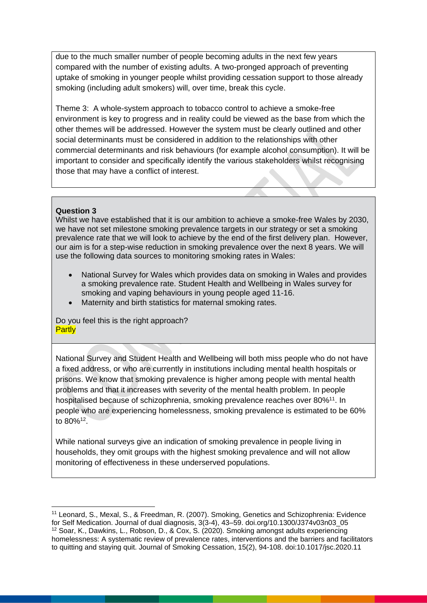due to the much smaller number of people becoming adults in the next few years compared with the number of existing adults. A two-pronged approach of preventing uptake of smoking in younger people whilst providing cessation support to those already smoking (including adult smokers) will, over time, break this cycle.

Theme 3: A whole-system approach to tobacco control to achieve a smoke-free environment is key to progress and in reality could be viewed as the base from which the other themes will be addressed. However the system must be clearly outlined and other social determinants must be considered in addition to the relationships with other commercial determinants and risk behaviours (for example alcohol consumption). It will be important to consider and specifically identify the various stakeholders whilst recognising those that may have a conflict of interest.

### **Question 3**

<u>.</u>

Whilst we have established that it is our ambition to achieve a smoke-free Wales by 2030, we have not set milestone smoking prevalence targets in our strategy or set a smoking prevalence rate that we will look to achieve by the end of the first delivery plan. However, our aim is for a step-wise reduction in smoking prevalence over the next 8 years. We will use the following data sources to monitoring smoking rates in Wales:

- National Survey for Wales which provides data on smoking in Wales and provides a smoking prevalence rate. Student Health and Wellbeing in Wales survey for smoking and vaping behaviours in young people aged 11-16.
- Maternity and birth statistics for maternal smoking rates.

Do you feel this is the right approach? **Partly** 

National Survey and Student Health and Wellbeing will both miss people who do not have a fixed address, or who are currently in institutions including mental health hospitals or prisons. We know that smoking prevalence is higher among people with mental health problems and that it increases with severity of the mental health problem. In people hospitalised because of schizophrenia, smoking prevalence reaches over 80%<sup>11</sup>. In people who are experiencing homelessness, smoking prevalence is estimated to be 60% to 80%<sup>12</sup> .

While national surveys give an indication of smoking prevalence in people living in households, they omit groups with the highest smoking prevalence and will not allow monitoring of effectiveness in these underserved populations.

<sup>11</sup> Leonard, S., Mexal, S., & Freedman, R. (2007). Smoking, Genetics and Schizophrenia: Evidence for Self Medication. Journal of dual diagnosis, 3(3-4), 43–59. doi.org/10.1300/J374v03n03\_05 <sup>12</sup> Soar, K., Dawkins, L., Robson, D., & Cox, S. (2020). Smoking amongst adults experiencing homelessness: A systematic review of prevalence rates, interventions and the barriers and facilitators to quitting and staying quit. Journal of Smoking Cessation, 15(2), 94-108. doi:10.1017/jsc.2020.11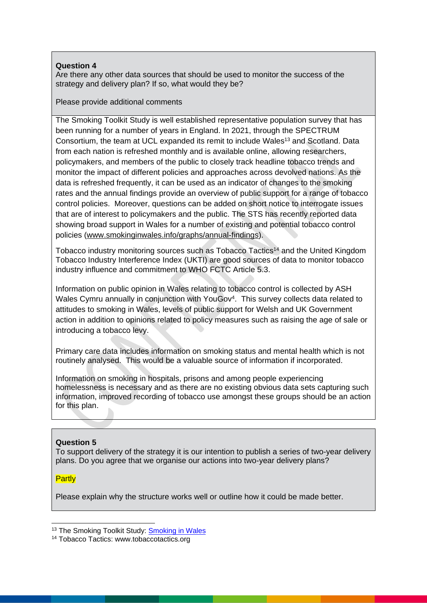## **Question 4**

Are there any other data sources that should be used to monitor the success of the strategy and delivery plan? If so, what would they be?

Please provide additional comments

The Smoking Toolkit Study is well established representative population survey that has been running for a number of years in England. In 2021, through the SPECTRUM Consortium, the team at UCL expanded its remit to include Wales<sup>13</sup> and Scotland. Data from each nation is refreshed monthly and is available online, allowing researchers, policymakers, and members of the public to closely track headline tobacco trends and monitor the impact of different policies and approaches across devolved nations. As the data is refreshed frequently, it can be used as an indicator of changes to the smoking rates and the annual findings provide an overview of public support for a range of tobacco control policies. Moreover, questions can be added on short notice to interrogate issues that are of interest to policymakers and the public. The STS has recently reported data showing broad support in Wales for a number of existing and potential tobacco control policies [\(www.smokinginwales.info/graphs/annual-findings\)](http://www.smokinginwales.info/graphs/annual-findings).

Tobacco industry monitoring sources such as Tobacco Tactics<sup>14</sup> and the United Kingdom Tobacco Industry Interference Index (UKTI) are good sources of data to monitor tobacco industry influence and commitment to WHO FCTC Article 5.3.

Information on public opinion in Wales relating to tobacco control is collected by ASH Wales Cymru annually in conjunction with YouGov<sup>4</sup>. This survey collects data related to attitudes to smoking in Wales, levels of public support for Welsh and UK Government action in addition to opinions related to policy measures such as raising the age of sale or introducing a tobacco levy.

Primary care data includes information on smoking status and mental health which is not routinely analysed. This would be a valuable source of information if incorporated.

Information on smoking in hospitals, prisons and among people experiencing homelessness is necessary and as there are no existing obvious data sets capturing such information, improved recording of tobacco use amongst these groups should be an action for this plan.

# **Question 5**

To support delivery of the strategy it is our intention to publish a series of two-year delivery plans. Do you agree that we organise our actions into two-year delivery plans?

### **Partly**

Please explain why the structure works well or outline how it could be made better.

<sup>-</sup><sup>13</sup> The [Smoking](https://www.smokinginwales.info/graphs/annual-findings) Toolkit Study: Smoking in Wales

<sup>&</sup>lt;sup>14</sup> Tobacco Tactics: www.tobaccotactics.org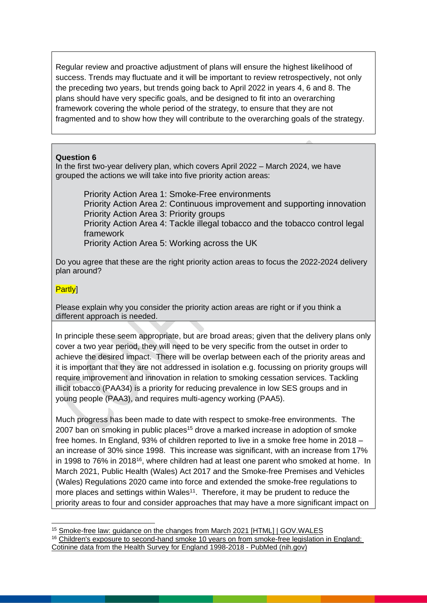Regular review and proactive adjustment of plans will ensure the highest likelihood of success. Trends may fluctuate and it will be important to review retrospectively, not only the preceding two years, but trends going back to April 2022 in years 4, 6 and 8. The plans should have very specific goals, and be designed to fit into an overarching framework covering the whole period of the strategy, to ensure that they are not fragmented and to show how they will contribute to the overarching goals of the strategy.

### **Question 6**

In the first two-year delivery plan, which covers April 2022 – March 2024, we have grouped the actions we will take into five priority action areas:

Priority Action Area 1: Smoke-Free environments Priority Action Area 2: Continuous improvement and supporting innovation Priority Action Area 3: Priority groups Priority Action Area 4: Tackle illegal tobacco and the tobacco control legal framework Priority Action Area 5: Working across the UK

Do you agree that these are the right priority action areas to focus the 2022-2024 delivery plan around?

# Partly]

Please explain why you consider the priority action areas are right or if you think a different approach is needed.

In principle these seem appropriate, but are broad areas; given that the delivery plans only cover a two year period, they will need to be very specific from the outset in order to achieve the desired impact. There will be overlap between each of the priority areas and it is important that they are not addressed in isolation e.g. focussing on priority groups will require improvement and innovation in relation to smoking cessation services. Tackling illicit tobacco (PAA34) is a priority for reducing prevalence in low SES groups and in young people (PAA3), and requires multi-agency working (PAA5).

Much progress has been made to date with respect to smoke-free environments. The 2007 ban on smoking in public places<sup>15</sup> drove a marked increase in adoption of smoke free homes. In England, 93% of children reported to live in a smoke free home in 2018 – an increase of 30% since 1998. This increase was significant, with an increase from 17% in 1998 to 76% in 2018<sup>16</sup>, where children had at least one parent who smoked at home. In March 2021, Public Health (Wales) Act 2017 and the Smoke-free Premises and Vehicles (Wales) Regulations 2020 came into force and extended the smoke-free regulations to more places and settings within Wales<sup>11</sup>. Therefore, it may be prudent to reduce the priority areas to four and consider approaches that may have a more significant impact on

<sup>-</sup><sup>15</sup> [Smoke-free law: guidance on the changes from March 2021 \[HTML\] | GOV.WALES](https://gov.wales/smoke-free-law-guidance-changes-march-2021-html) <sup>16</sup> Children's exposure to second-hand smoke 10 years on from smoke-free legislation in England: [Cotinine data from the Health Survey for England 1998-2018 -](https://pubmed.ncbi.nlm.nih.gov/35146477/) PubMed (nih.gov)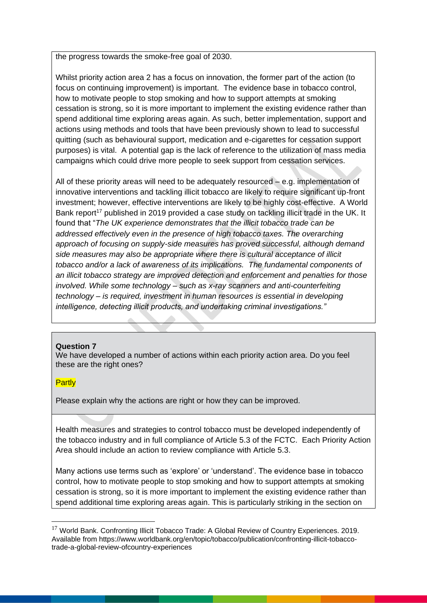the progress towards the smoke-free goal of 2030.

Whilst priority action area 2 has a focus on innovation, the former part of the action (to focus on continuing improvement) is important. The evidence base in tobacco control, how to motivate people to stop smoking and how to support attempts at smoking cessation is strong, so it is more important to implement the existing evidence rather than spend additional time exploring areas again. As such, better implementation, support and actions using methods and tools that have been previously shown to lead to successful quitting (such as behavioural support, medication and e-cigarettes for cessation support purposes) is vital. A potential gap is the lack of reference to the utilization of mass media campaigns which could drive more people to seek support from cessation services.

All of these priority areas will need to be adequately resourced – e.g. implementation of innovative interventions and tackling illicit tobacco are likely to require significant up-front investment; however, effective interventions are likely to be highly cost-effective. A World Bank report<sup>17</sup> published in 2019 provided a case study on tackling illicit trade in the UK. It found that "*The UK experience demonstrates that the illicit tobacco trade can be addressed effectively even in the presence of high tobacco taxes. The overarching approach of focusing on supply-side measures has proved successful, although demand side measures may also be appropriate where there is cultural acceptance of illicit tobacco and/or a lack of awareness of its implications. The fundamental components of an illicit tobacco strategy are improved detection and enforcement and penalties for those involved. While some technology – such as x-ray scanners and anti-counterfeiting technology – is required, investment in human resources is essential in developing intelligence, detecting illicit products, and undertaking criminal investigations."*

### **Question 7**

We have developed a number of actions within each priority action area. Do you feel these are the right ones?

### **Partly**

<u>.</u>

Please explain why the actions are right or how they can be improved.

Health measures and strategies to control tobacco must be developed independently of the tobacco industry and in full compliance of Article 5.3 of the FCTC. Each Priority Action Area should include an action to review compliance with Article 5.3.

Many actions use terms such as 'explore' or 'understand'. The evidence base in tobacco control, how to motivate people to stop smoking and how to support attempts at smoking cessation is strong, so it is more important to implement the existing evidence rather than spend additional time exploring areas again. This is particularly striking in the section on

<sup>&</sup>lt;sup>17</sup> World Bank. Confronting Illicit Tobacco Trade: A Global Review of Country Experiences. 2019. Available from https://www.worldbank.org/en/topic/tobacco/publication/confronting-illicit-tobaccotrade-a-global-review-ofcountry-experiences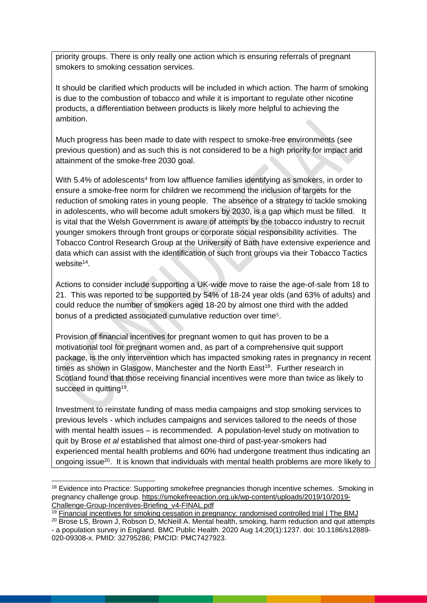priority groups. There is only really one action which is ensuring referrals of pregnant smokers to smoking cessation services.

It should be clarified which products will be included in which action. The harm of smoking is due to the combustion of tobacco and while it is important to regulate other nicotine products, a differentiation between products is likely more helpful to achieving the ambition.

Much progress has been made to date with respect to smoke-free environments (see previous question) and as such this is not considered to be a high priority for impact and attainment of the smoke-free 2030 goal.

With 5.4% of adolescents<sup>4</sup> from low affluence families identifying as smokers, in order to ensure a smoke-free norm for children we recommend the inclusion of targets for the reduction of smoking rates in young people. The absence of a strategy to tackle smoking in adolescents, who will become adult smokers by 2030, is a gap which must be filled. It is vital that the Welsh Government is aware of attempts by the tobacco industry to recruit younger smokers through front groups or corporate social responsibility activities. The Tobacco Control Research Group at the University of Bath have extensive experience and data which can assist with the identification of such front groups via their [Tobacco Tactics](https://tobaccotactics.org/)  [website](https://tobaccotactics.org/)<sup>14</sup>.

Actions to consider include supporting a UK-wide move to raise the age-of-sale from 18 to 21. This was reported to be supported by 54% of 18-24 year olds (and 63% of adults) and could reduce the number of smokers aged 18-20 by almost one third with the added bonus of a predicted associated cumulative reduction over time5.

Provision of financial incentives for pregnant women to quit has proven to be a motivational tool for pregnant women and, as part of a comprehensive quit support package, is the only intervention which has impacted smoking rates in pregnancy in recent times as shown in Glasgow, Manchester and the North East<sup>18</sup>. Further research in Scotland found that those receiving financial incentives were more than twice as likely to succeed in quitting<sup>19</sup>.

Investment to reinstate funding of mass media campaigns and stop smoking services to previous levels - which includes campaigns and services tailored to the needs of those with mental health issues – is recommended. A population-level study on motivation to quit by Brose *et al* established that almost one-third of past-year-smokers had experienced mental health problems and 60% had undergone treatment thus indicating an ongoing issue<sup>20</sup>. It is known that individuals with mental health problems are more likely to

<sup>-</sup><sup>18</sup> Evidence into Practice: Supporting smokefree pregnancies thorugh incentive schemes. Smoking in pregnancy challenge group. [https://smokefreeaction.org.uk/wp-content/uploads/2019/10/2019-](https://smokefreeaction.org.uk/wp-content/uploads/2019/10/2019-Challenge-Group-Incentives-Briefing_v4-FINAL.pdf) [Challenge-Group-Incentives-Briefing\\_v4-FINAL.pdf](https://smokefreeaction.org.uk/wp-content/uploads/2019/10/2019-Challenge-Group-Incentives-Briefing_v4-FINAL.pdf)

<sup>19</sup> [Financial incentives for smoking cessation in pregnancy: randomised controlled trial | The BMJ](https://www.bmj.com/content/350/bmj.h134)

<sup>&</sup>lt;sup>20</sup> Brose LS, Brown J, Robson D, McNeill A. Mental health, smoking, harm reduction and quit attempts - a population survey in England. BMC Public Health. 2020 Aug 14;20(1):1237. doi: 10.1186/s12889- 020-09308-x. PMID: 32795286; PMCID: PMC7427923.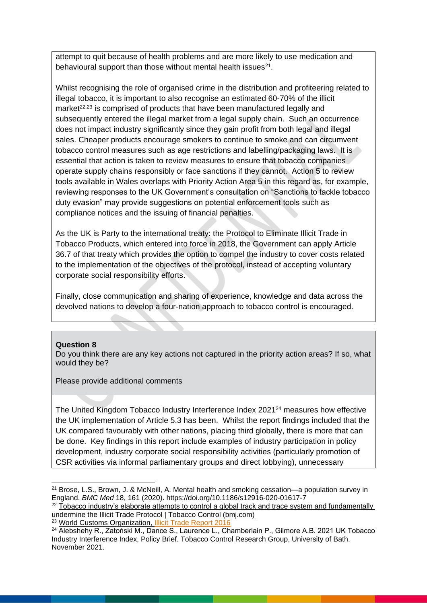attempt to quit because of health problems and are more likely to use medication and behavioural support than those without mental health issues<sup>21</sup>.

Whilst recognising the role of organised crime in the distribution and profiteering related to illegal tobacco, it is important to also recognise an estimated 60-70% of the illicit market<sup>22,23</sup> is comprised of products that have been manufactured legally and subsequently entered the illegal market from a legal supply chain. Such an occurrence does not impact industry significantly since they gain profit from both legal and illegal sales. Cheaper products encourage smokers to continue to smoke and can circumvent tobacco control measures such as age restrictions and labelling/packaging laws. It is essential that action is taken to review measures to ensure that tobacco companies operate supply chains responsibly or face sanctions if they cannot. Action 5 to review tools available in Wales overlaps with Priority Action Area 5 in this regard as, for example, reviewing responses to the UK Government's consultation on "Sanctions to tackle tobacco duty evasion" may provide suggestions on potential enforcement tools such as compliance notices and the issuing of financial penalties.

As the UK is Party to the international treaty: the Protocol to Eliminate Illicit Trade in Tobacco Products, which entered into force in 2018, the Government can apply Article 36.7 of that treaty which provides the option to compel the industry to cover costs related to the implementation of the objectives of the protocol, instead of accepting voluntary corporate social responsibility efforts.

Finally, close communication and sharing of experience, knowledge and data across the devolved nations to develop a four-nation approach to tobacco control is encouraged.

#### **Question 8**

<u>.</u>

Do you think there are any key actions not captured in the priority action areas? If so, what would they be?

Please provide additional comments

The United Kingdom Tobacco Industry Interference Index 2021<sup>24</sup> measures how effective the UK implementation of Article 5.3 has been. Whilst the report findings included that the UK compared favourably with other nations, placing third globally, there is more that can be done. Key findings in this report include examples of industry participation in policy development, industry corporate social responsibility activities (particularly promotion of CSR activities via informal parliamentary groups and direct lobbying), unnecessary

<sup>23</sup> World Customs Organization, [Illicit Trade Report 2016](https://web.archive.org/web/20180518085824/http:/www.wcoomd.org/-/media/wco/public/global/pdf/topics/enforcement-and-compliance/activities-and-programmes/illicit-trade-report/itr-2016-en.pdf?db=web)

 $21$  Brose, L.S., Brown, J. & McNeill, A. Mental health and smoking cessation—a population survey in England. *BMC Med* 18, 161 (2020). https://doi.org/10.1186/s12916-020-01617-7

 $22$  Tobacco industry's elaborate attempts to control a global track and trace system and fundamentally [undermine the Illicit Trade Protocol | Tobacco Control \(bmj.com\)](https://tobaccocontrol.bmj.com/content/28/2/127)

<sup>&</sup>lt;sup>24</sup> Alebshehy R., Zatoński M., Dance S., Laurence L., Chamberlain P., Gilmore A.B. 2021 UK Tobacco Industry Interference Index, Policy Brief. Tobacco Control Research Group, University of Bath. November 2021.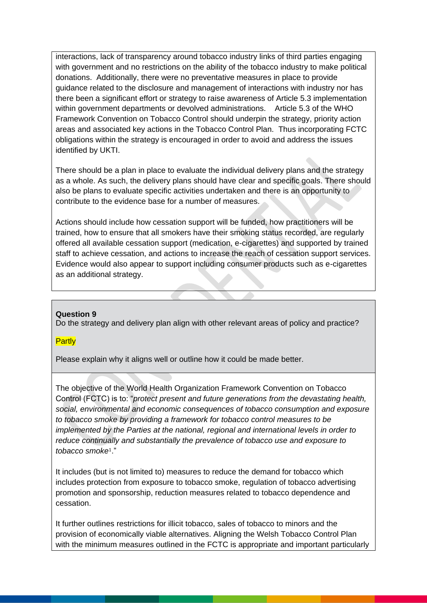interactions, lack of transparency around tobacco industry links of third parties engaging with government and no restrictions on the ability of the tobacco industry to make political donations. Additionally, there were no preventative measures in place to provide guidance related to the disclosure and management of interactions with industry nor has there been a significant effort or strategy to raise awareness of Article 5.3 implementation within government departments or devolved administrations. Article 5.3 of the WHO Framework Convention on Tobacco Control should underpin the strategy, priority action areas and associated key actions in the Tobacco Control Plan. Thus incorporating FCTC obligations within the strategy is encouraged in order to avoid and address the issues identified by UKTI.

There should be a plan in place to evaluate the individual delivery plans and the strategy as a whole. As such, the delivery plans should have clear and specific goals. There should also be plans to evaluate specific activities undertaken and there is an opportunity to contribute to the evidence base for a number of measures.

Actions should include how cessation support will be funded, how practitioners will be trained, how to ensure that all smokers have their smoking status recorded, are regularly offered all available cessation support (medication, e-cigarettes) and supported by trained staff to achieve cessation, and actions to increase the reach of cessation support services. Evidence would also appear to support including consumer products such as e-cigarettes as an additional strategy.

### **Question 9**

Do the strategy and delivery plan align with other relevant areas of policy and practice?

#### **Partly**

Please explain why it aligns well or outline how it could be made better.

The objective of the World Health Organization Framework Convention on Tobacco Control (FCTC) is to: "*protect present and future generations from the devastating health, social, environmental and economic consequences of tobacco consumption and exposure to tobacco smoke by providing a framework for tobacco control measures to be implemented by the Parties at the national, regional and international levels in order to reduce continually and substantially the prevalence of tobacco use and exposure to tobacco smoke*1."

It includes (but is not limited to) measures to reduce the demand for tobacco which includes protection from exposure to tobacco smoke, regulation of tobacco advertising promotion and sponsorship, reduction measures related to tobacco dependence and cessation.

It further outlines restrictions for illicit tobacco, sales of tobacco to minors and the provision of economically viable alternatives. Aligning the Welsh Tobacco Control Plan with the minimum measures outlined in the FCTC is appropriate and important particularly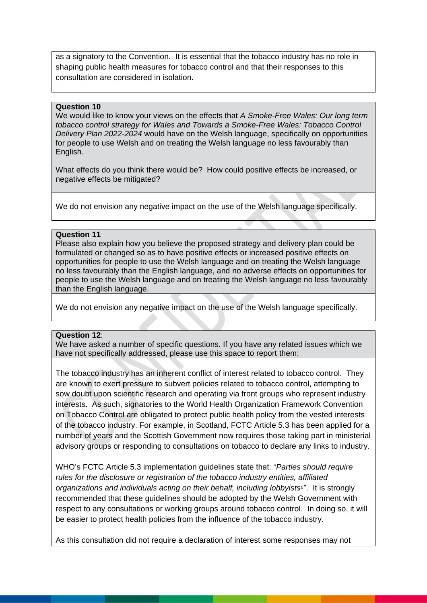as a signatory to the Convention. It is essential that the tobacco industry has no role in shaping public health measures for tobacco control and that their responses to this consultation are considered in isolation.

#### **Question 10**

We would like to know your views on the effects that *A Smoke-Free Wales: Our long term tobacco control strategy for Wales and Towards a Smoke-Free Wales: Tobacco Control Delivery Plan 2022-2024* would have on the Welsh language, specifically on opportunities for people to use Welsh and on treating the Welsh language no less favourably than English.

What effects do you think there would be? How could positive effects be increased, or negative effects be mitigated?

We do not envision any negative impact on the use of the Welsh language specifically.

#### **Question 11**

Please also explain how you believe the proposed strategy and delivery plan could be formulated or changed so as to have positive effects or increased positive effects on opportunities for people to use the Welsh language and on treating the Welsh language no less favourably than the English language, and no adverse effects on opportunities for people to use the Welsh language and on treating the Welsh language no less favourably than the English language.

We do not envision any negative impact on the use of the Welsh language specifically.

#### **Question 12**:

We have asked a number of specific questions. If you have any related issues which we have not specifically addressed, please use this space to report them:

The tobacco industry has an inherent conflict of interest related to tobacco control. They are known to exert pressure to subvert policies related to tobacco control, attempting to sow doubt upon scientific research and operating via front groups who represent industry interests. As such, signatories to the World Health Organization Framework Convention on Tobacco Control are obligated to protect public health policy from the vested interests of the tobacco industry. For example, in Scotland, FCTC Article 5.3 has been applied for a number of years and the Scottish Government now requires those taking part in ministerial advisory groups or responding to consultations on tobacco to declare any links to industry.

WHO's FCTC Article 5.3 implementation guidelines state that: "*Parties should require rules for the disclosure or registration of the tobacco industry entities, affiliated organizations and individuals acting on their behalf, including lobbyists*6". It is strongly recommended that these guidelines should be adopted by the Welsh Government with respect to any consultations or working groups around tobacco control. In doing so, it will be easier to protect health policies from the influence of the tobacco industry.

As this consultation did not require a declaration of interest some responses may not